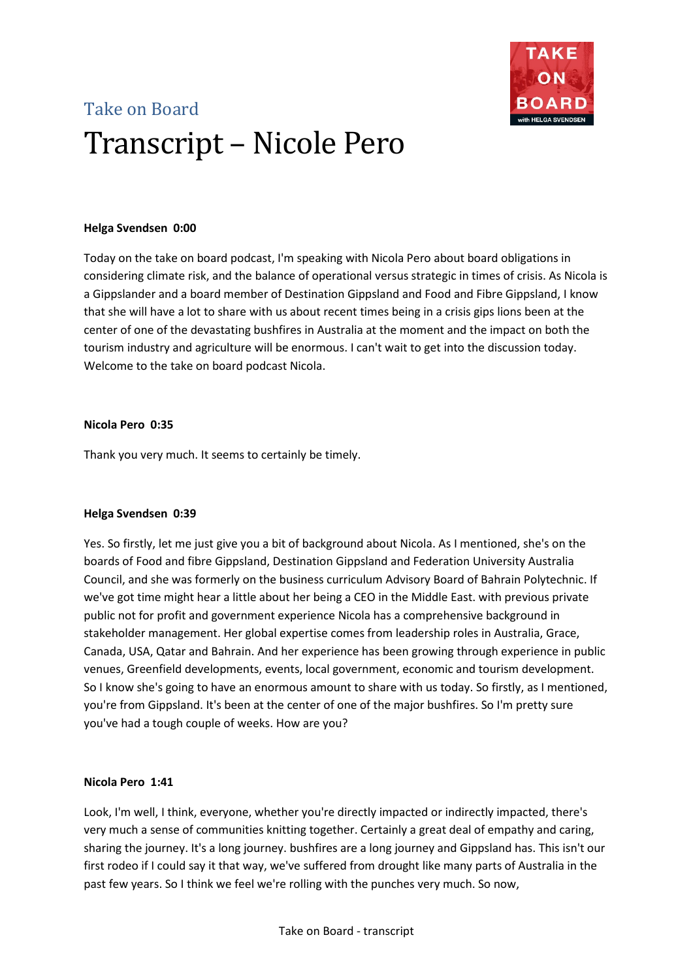

# Take on Board Transcript – Nicole Pero

# **Helga Svendsen 0:00**

Today on the take on board podcast, I'm speaking with Nicola Pero about board obligations in considering climate risk, and the balance of operational versus strategic in times of crisis. As Nicola is a Gippslander and a board member of Destination Gippsland and Food and Fibre Gippsland, I know that she will have a lot to share with us about recent times being in a crisis gips lions been at the center of one of the devastating bushfires in Australia at the moment and the impact on both the tourism industry and agriculture will be enormous. I can't wait to get into the discussion today. Welcome to the take on board podcast Nicola.

# **Nicola Pero 0:35**

Thank you very much. It seems to certainly be timely.

# **Helga Svendsen 0:39**

Yes. So firstly, let me just give you a bit of background about Nicola. As I mentioned, she's on the boards of Food and fibre Gippsland, Destination Gippsland and Federation University Australia Council, and she was formerly on the business curriculum Advisory Board of Bahrain Polytechnic. If we've got time might hear a little about her being a CEO in the Middle East. with previous private public not for profit and government experience Nicola has a comprehensive background in stakeholder management. Her global expertise comes from leadership roles in Australia, Grace, Canada, USA, Qatar and Bahrain. And her experience has been growing through experience in public venues, Greenfield developments, events, local government, economic and tourism development. So I know she's going to have an enormous amount to share with us today. So firstly, as I mentioned, you're from Gippsland. It's been at the center of one of the major bushfires. So I'm pretty sure you've had a tough couple of weeks. How are you?

# **Nicola Pero 1:41**

Look, I'm well, I think, everyone, whether you're directly impacted or indirectly impacted, there's very much a sense of communities knitting together. Certainly a great deal of empathy and caring, sharing the journey. It's a long journey. bushfires are a long journey and Gippsland has. This isn't our first rodeo if I could say it that way, we've suffered from drought like many parts of Australia in the past few years. So I think we feel we're rolling with the punches very much. So now,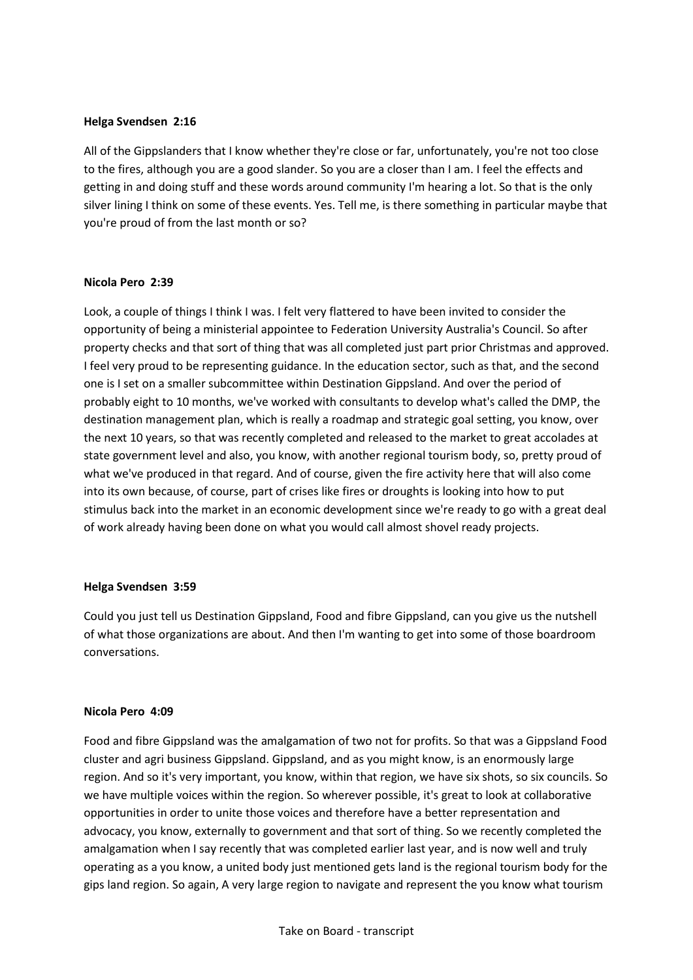#### **Helga Svendsen 2:16**

All of the Gippslanders that I know whether they're close or far, unfortunately, you're not too close to the fires, although you are a good slander. So you are a closer than I am. I feel the effects and getting in and doing stuff and these words around community I'm hearing a lot. So that is the only silver lining I think on some of these events. Yes. Tell me, is there something in particular maybe that you're proud of from the last month or so?

#### **Nicola Pero 2:39**

Look, a couple of things I think I was. I felt very flattered to have been invited to consider the opportunity of being a ministerial appointee to Federation University Australia's Council. So after property checks and that sort of thing that was all completed just part prior Christmas and approved. I feel very proud to be representing guidance. In the education sector, such as that, and the second one is I set on a smaller subcommittee within Destination Gippsland. And over the period of probably eight to 10 months, we've worked with consultants to develop what's called the DMP, the destination management plan, which is really a roadmap and strategic goal setting, you know, over the next 10 years, so that was recently completed and released to the market to great accolades at state government level and also, you know, with another regional tourism body, so, pretty proud of what we've produced in that regard. And of course, given the fire activity here that will also come into its own because, of course, part of crises like fires or droughts is looking into how to put stimulus back into the market in an economic development since we're ready to go with a great deal of work already having been done on what you would call almost shovel ready projects.

# **Helga Svendsen 3:59**

Could you just tell us Destination Gippsland, Food and fibre Gippsland, can you give us the nutshell of what those organizations are about. And then I'm wanting to get into some of those boardroom conversations.

#### **Nicola Pero 4:09**

Food and fibre Gippsland was the amalgamation of two not for profits. So that was a Gippsland Food cluster and agri business Gippsland. Gippsland, and as you might know, is an enormously large region. And so it's very important, you know, within that region, we have six shots, so six councils. So we have multiple voices within the region. So wherever possible, it's great to look at collaborative opportunities in order to unite those voices and therefore have a better representation and advocacy, you know, externally to government and that sort of thing. So we recently completed the amalgamation when I say recently that was completed earlier last year, and is now well and truly operating as a you know, a united body just mentioned gets land is the regional tourism body for the gips land region. So again, A very large region to navigate and represent the you know what tourism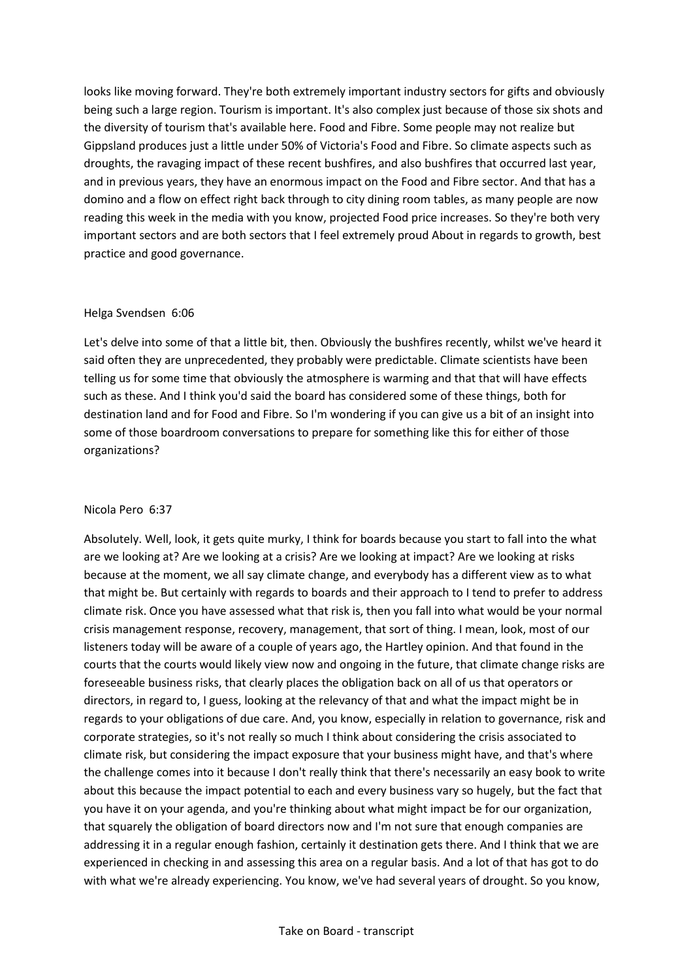looks like moving forward. They're both extremely important industry sectors for gifts and obviously being such a large region. Tourism is important. It's also complex just because of those six shots and the diversity of tourism that's available here. Food and Fibre. Some people may not realize but Gippsland produces just a little under 50% of Victoria's Food and Fibre. So climate aspects such as droughts, the ravaging impact of these recent bushfires, and also bushfires that occurred last year, and in previous years, they have an enormous impact on the Food and Fibre sector. And that has a domino and a flow on effect right back through to city dining room tables, as many people are now reading this week in the media with you know, projected Food price increases. So they're both very important sectors and are both sectors that I feel extremely proud About in regards to growth, best practice and good governance.

#### Helga Svendsen 6:06

Let's delve into some of that a little bit, then. Obviously the bushfires recently, whilst we've heard it said often they are unprecedented, they probably were predictable. Climate scientists have been telling us for some time that obviously the atmosphere is warming and that that will have effects such as these. And I think you'd said the board has considered some of these things, both for destination land and for Food and Fibre. So I'm wondering if you can give us a bit of an insight into some of those boardroom conversations to prepare for something like this for either of those organizations?

# Nicola Pero 6:37

Absolutely. Well, look, it gets quite murky, I think for boards because you start to fall into the what are we looking at? Are we looking at a crisis? Are we looking at impact? Are we looking at risks because at the moment, we all say climate change, and everybody has a different view as to what that might be. But certainly with regards to boards and their approach to I tend to prefer to address climate risk. Once you have assessed what that risk is, then you fall into what would be your normal crisis management response, recovery, management, that sort of thing. I mean, look, most of our listeners today will be aware of a couple of years ago, the Hartley opinion. And that found in the courts that the courts would likely view now and ongoing in the future, that climate change risks are foreseeable business risks, that clearly places the obligation back on all of us that operators or directors, in regard to, I guess, looking at the relevancy of that and what the impact might be in regards to your obligations of due care. And, you know, especially in relation to governance, risk and corporate strategies, so it's not really so much I think about considering the crisis associated to climate risk, but considering the impact exposure that your business might have, and that's where the challenge comes into it because I don't really think that there's necessarily an easy book to write about this because the impact potential to each and every business vary so hugely, but the fact that you have it on your agenda, and you're thinking about what might impact be for our organization, that squarely the obligation of board directors now and I'm not sure that enough companies are addressing it in a regular enough fashion, certainly it destination gets there. And I think that we are experienced in checking in and assessing this area on a regular basis. And a lot of that has got to do with what we're already experiencing. You know, we've had several years of drought. So you know,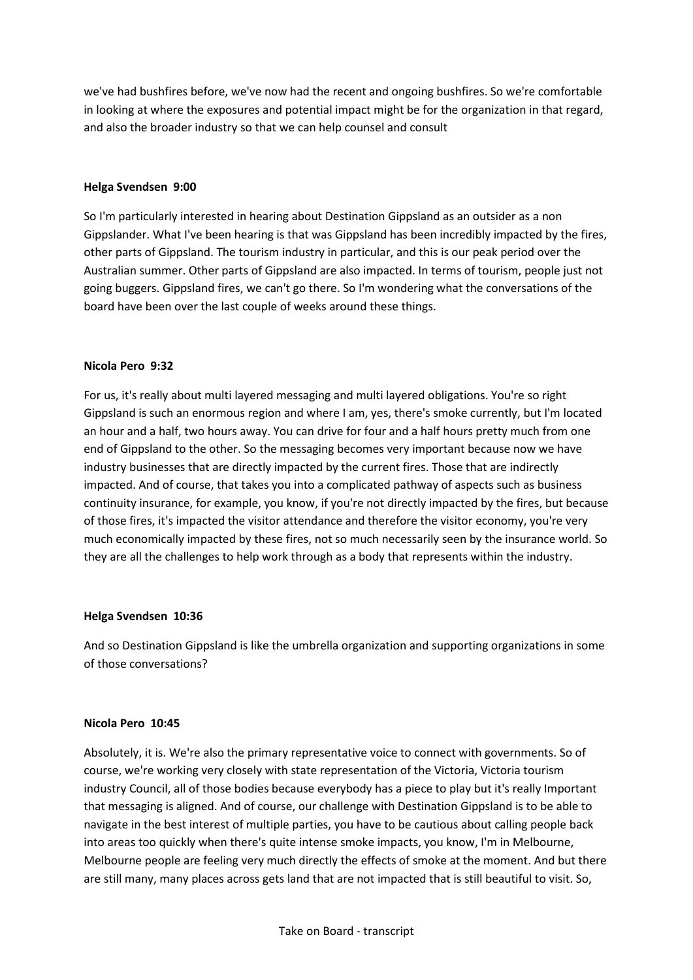we've had bushfires before, we've now had the recent and ongoing bushfires. So we're comfortable in looking at where the exposures and potential impact might be for the organization in that regard, and also the broader industry so that we can help counsel and consult

# **Helga Svendsen 9:00**

So I'm particularly interested in hearing about Destination Gippsland as an outsider as a non Gippslander. What I've been hearing is that was Gippsland has been incredibly impacted by the fires, other parts of Gippsland. The tourism industry in particular, and this is our peak period over the Australian summer. Other parts of Gippsland are also impacted. In terms of tourism, people just not going buggers. Gippsland fires, we can't go there. So I'm wondering what the conversations of the board have been over the last couple of weeks around these things.

#### **Nicola Pero 9:32**

For us, it's really about multi layered messaging and multi layered obligations. You're so right Gippsland is such an enormous region and where I am, yes, there's smoke currently, but I'm located an hour and a half, two hours away. You can drive for four and a half hours pretty much from one end of Gippsland to the other. So the messaging becomes very important because now we have industry businesses that are directly impacted by the current fires. Those that are indirectly impacted. And of course, that takes you into a complicated pathway of aspects such as business continuity insurance, for example, you know, if you're not directly impacted by the fires, but because of those fires, it's impacted the visitor attendance and therefore the visitor economy, you're very much economically impacted by these fires, not so much necessarily seen by the insurance world. So they are all the challenges to help work through as a body that represents within the industry.

#### **Helga Svendsen 10:36**

And so Destination Gippsland is like the umbrella organization and supporting organizations in some of those conversations?

#### **Nicola Pero 10:45**

Absolutely, it is. We're also the primary representative voice to connect with governments. So of course, we're working very closely with state representation of the Victoria, Victoria tourism industry Council, all of those bodies because everybody has a piece to play but it's really Important that messaging is aligned. And of course, our challenge with Destination Gippsland is to be able to navigate in the best interest of multiple parties, you have to be cautious about calling people back into areas too quickly when there's quite intense smoke impacts, you know, I'm in Melbourne, Melbourne people are feeling very much directly the effects of smoke at the moment. And but there are still many, many places across gets land that are not impacted that is still beautiful to visit. So,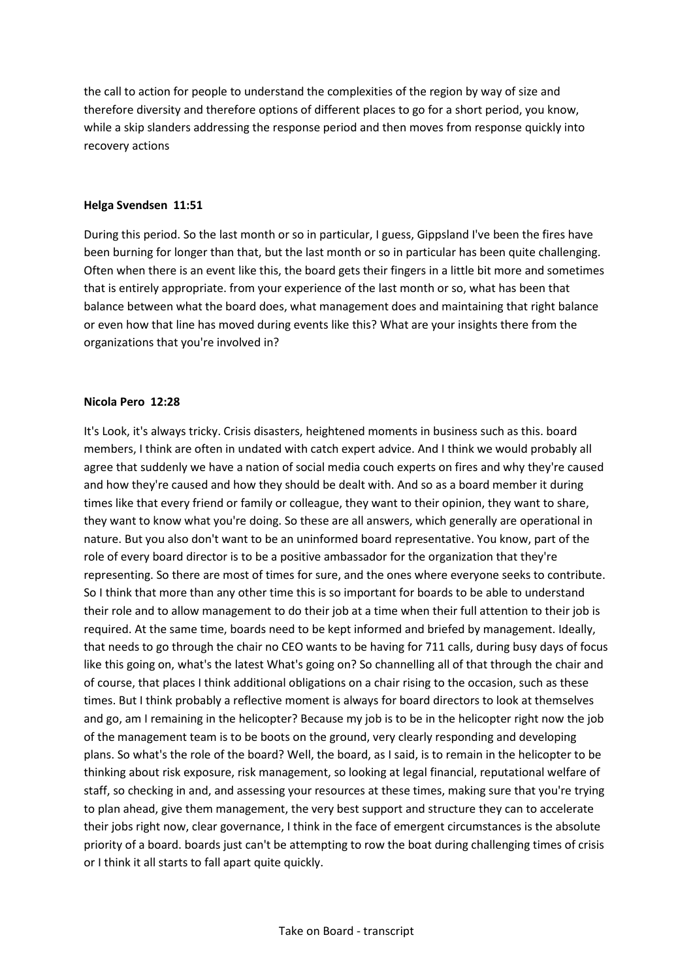the call to action for people to understand the complexities of the region by way of size and therefore diversity and therefore options of different places to go for a short period, you know, while a skip slanders addressing the response period and then moves from response quickly into recovery actions

#### **Helga Svendsen 11:51**

During this period. So the last month or so in particular, I guess, Gippsland I've been the fires have been burning for longer than that, but the last month or so in particular has been quite challenging. Often when there is an event like this, the board gets their fingers in a little bit more and sometimes that is entirely appropriate. from your experience of the last month or so, what has been that balance between what the board does, what management does and maintaining that right balance or even how that line has moved during events like this? What are your insights there from the organizations that you're involved in?

#### **Nicola Pero 12:28**

It's Look, it's always tricky. Crisis disasters, heightened moments in business such as this. board members, I think are often in undated with catch expert advice. And I think we would probably all agree that suddenly we have a nation of social media couch experts on fires and why they're caused and how they're caused and how they should be dealt with. And so as a board member it during times like that every friend or family or colleague, they want to their opinion, they want to share, they want to know what you're doing. So these are all answers, which generally are operational in nature. But you also don't want to be an uninformed board representative. You know, part of the role of every board director is to be a positive ambassador for the organization that they're representing. So there are most of times for sure, and the ones where everyone seeks to contribute. So I think that more than any other time this is so important for boards to be able to understand their role and to allow management to do their job at a time when their full attention to their job is required. At the same time, boards need to be kept informed and briefed by management. Ideally, that needs to go through the chair no CEO wants to be having for 711 calls, during busy days of focus like this going on, what's the latest What's going on? So channelling all of that through the chair and of course, that places I think additional obligations on a chair rising to the occasion, such as these times. But I think probably a reflective moment is always for board directors to look at themselves and go, am I remaining in the helicopter? Because my job is to be in the helicopter right now the job of the management team is to be boots on the ground, very clearly responding and developing plans. So what's the role of the board? Well, the board, as I said, is to remain in the helicopter to be thinking about risk exposure, risk management, so looking at legal financial, reputational welfare of staff, so checking in and, and assessing your resources at these times, making sure that you're trying to plan ahead, give them management, the very best support and structure they can to accelerate their jobs right now, clear governance, I think in the face of emergent circumstances is the absolute priority of a board. boards just can't be attempting to row the boat during challenging times of crisis or I think it all starts to fall apart quite quickly.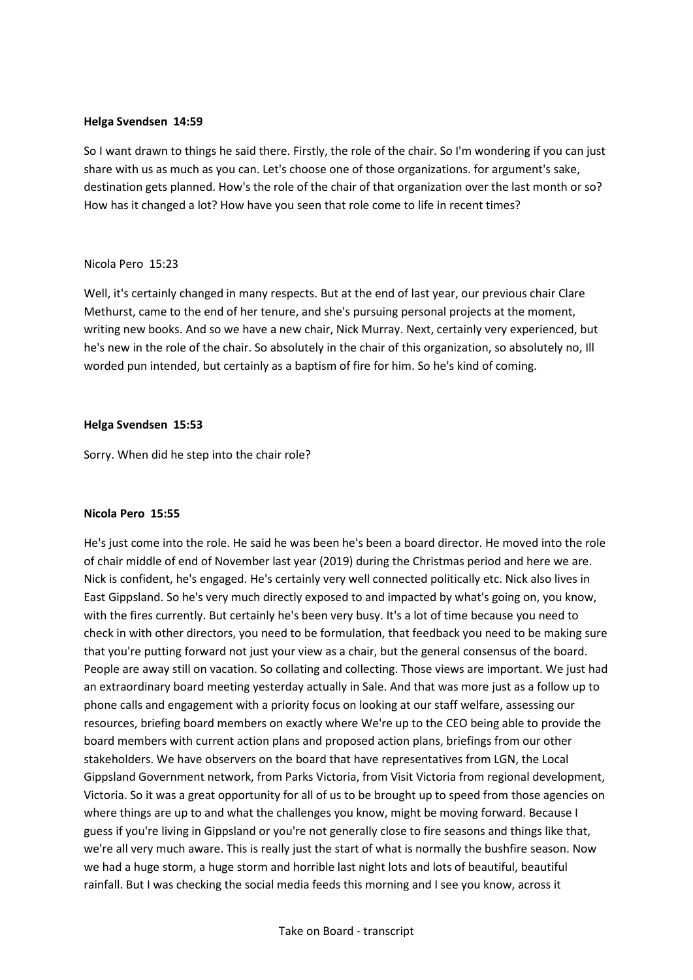#### **Helga Svendsen 14:59**

So I want drawn to things he said there. Firstly, the role of the chair. So I'm wondering if you can just share with us as much as you can. Let's choose one of those organizations. for argument's sake, destination gets planned. How's the role of the chair of that organization over the last month or so? How has it changed a lot? How have you seen that role come to life in recent times?

#### Nicola Pero 15:23

Well, it's certainly changed in many respects. But at the end of last year, our previous chair Clare Methurst, came to the end of her tenure, and she's pursuing personal projects at the moment, writing new books. And so we have a new chair, Nick Murray. Next, certainly very experienced, but he's new in the role of the chair. So absolutely in the chair of this organization, so absolutely no, Ill worded pun intended, but certainly as a baptism of fire for him. So he's kind of coming.

#### **Helga Svendsen 15:53**

Sorry. When did he step into the chair role?

# **Nicola Pero 15:55**

He's just come into the role. He said he was been he's been a board director. He moved into the role of chair middle of end of November last year (2019) during the Christmas period and here we are. Nick is confident, he's engaged. He's certainly very well connected politically etc. Nick also lives in East Gippsland. So he's very much directly exposed to and impacted by what's going on, you know, with the fires currently. But certainly he's been very busy. It's a lot of time because you need to check in with other directors, you need to be formulation, that feedback you need to be making sure that you're putting forward not just your view as a chair, but the general consensus of the board. People are away still on vacation. So collating and collecting. Those views are important. We just had an extraordinary board meeting yesterday actually in Sale. And that was more just as a follow up to phone calls and engagement with a priority focus on looking at our staff welfare, assessing our resources, briefing board members on exactly where We're up to the CEO being able to provide the board members with current action plans and proposed action plans, briefings from our other stakeholders. We have observers on the board that have representatives from LGN, the Local Gippsland Government network, from Parks Victoria, from Visit Victoria from regional development, Victoria. So it was a great opportunity for all of us to be brought up to speed from those agencies on where things are up to and what the challenges you know, might be moving forward. Because I guess if you're living in Gippsland or you're not generally close to fire seasons and things like that, we're all very much aware. This is really just the start of what is normally the bushfire season. Now we had a huge storm, a huge storm and horrible last night lots and lots of beautiful, beautiful rainfall. But I was checking the social media feeds this morning and I see you know, across it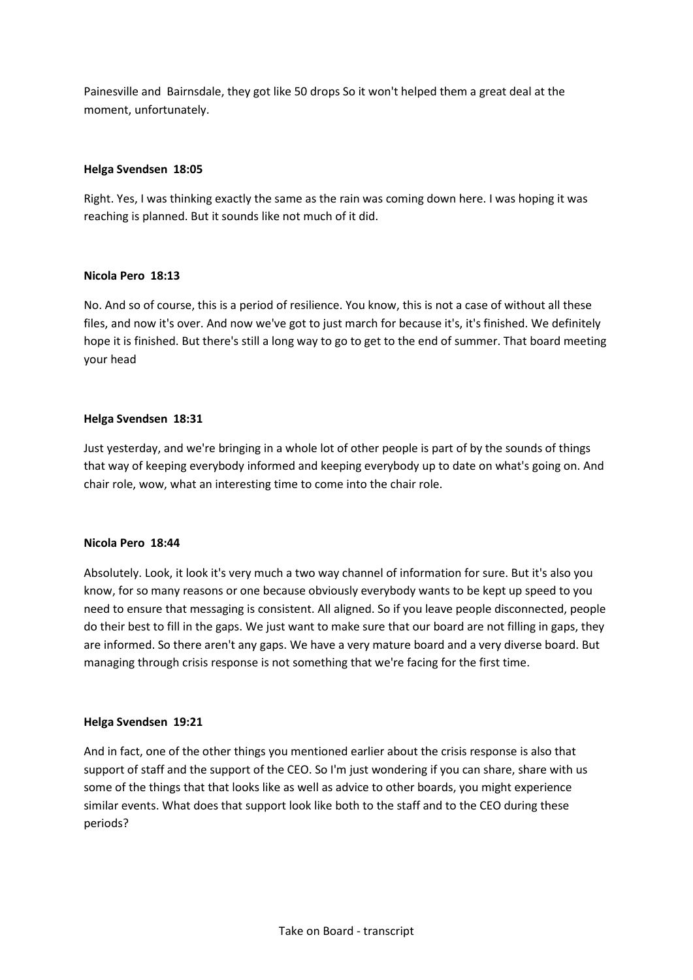Painesville and Bairnsdale, they got like 50 drops So it won't helped them a great deal at the moment, unfortunately.

# **Helga Svendsen 18:05**

Right. Yes, I was thinking exactly the same as the rain was coming down here. I was hoping it was reaching is planned. But it sounds like not much of it did.

# **Nicola Pero 18:13**

No. And so of course, this is a period of resilience. You know, this is not a case of without all these files, and now it's over. And now we've got to just march for because it's, it's finished. We definitely hope it is finished. But there's still a long way to go to get to the end of summer. That board meeting your head

# **Helga Svendsen 18:31**

Just yesterday, and we're bringing in a whole lot of other people is part of by the sounds of things that way of keeping everybody informed and keeping everybody up to date on what's going on. And chair role, wow, what an interesting time to come into the chair role.

# **Nicola Pero 18:44**

Absolutely. Look, it look it's very much a two way channel of information for sure. But it's also you know, for so many reasons or one because obviously everybody wants to be kept up speed to you need to ensure that messaging is consistent. All aligned. So if you leave people disconnected, people do their best to fill in the gaps. We just want to make sure that our board are not filling in gaps, they are informed. So there aren't any gaps. We have a very mature board and a very diverse board. But managing through crisis response is not something that we're facing for the first time.

# **Helga Svendsen 19:21**

And in fact, one of the other things you mentioned earlier about the crisis response is also that support of staff and the support of the CEO. So I'm just wondering if you can share, share with us some of the things that that looks like as well as advice to other boards, you might experience similar events. What does that support look like both to the staff and to the CEO during these periods?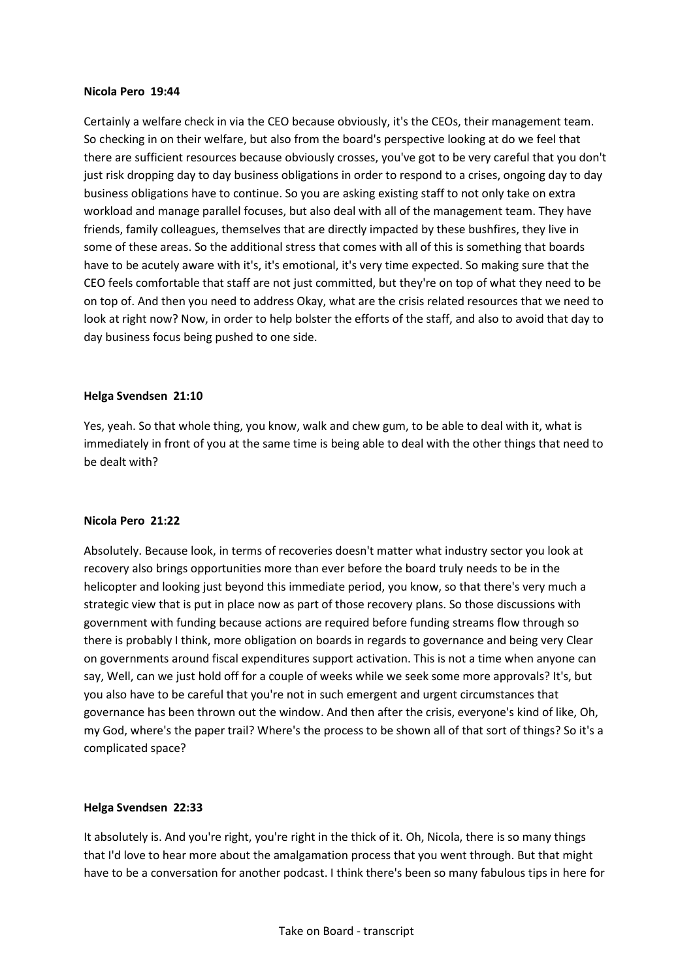#### **Nicola Pero 19:44**

Certainly a welfare check in via the CEO because obviously, it's the CEOs, their management team. So checking in on their welfare, but also from the board's perspective looking at do we feel that there are sufficient resources because obviously crosses, you've got to be very careful that you don't just risk dropping day to day business obligations in order to respond to a crises, ongoing day to day business obligations have to continue. So you are asking existing staff to not only take on extra workload and manage parallel focuses, but also deal with all of the management team. They have friends, family colleagues, themselves that are directly impacted by these bushfires, they live in some of these areas. So the additional stress that comes with all of this is something that boards have to be acutely aware with it's, it's emotional, it's very time expected. So making sure that the CEO feels comfortable that staff are not just committed, but they're on top of what they need to be on top of. And then you need to address Okay, what are the crisis related resources that we need to look at right now? Now, in order to help bolster the efforts of the staff, and also to avoid that day to day business focus being pushed to one side.

#### **Helga Svendsen 21:10**

Yes, yeah. So that whole thing, you know, walk and chew gum, to be able to deal with it, what is immediately in front of you at the same time is being able to deal with the other things that need to be dealt with?

#### **Nicola Pero 21:22**

Absolutely. Because look, in terms of recoveries doesn't matter what industry sector you look at recovery also brings opportunities more than ever before the board truly needs to be in the helicopter and looking just beyond this immediate period, you know, so that there's very much a strategic view that is put in place now as part of those recovery plans. So those discussions with government with funding because actions are required before funding streams flow through so there is probably I think, more obligation on boards in regards to governance and being very Clear on governments around fiscal expenditures support activation. This is not a time when anyone can say, Well, can we just hold off for a couple of weeks while we seek some more approvals? It's, but you also have to be careful that you're not in such emergent and urgent circumstances that governance has been thrown out the window. And then after the crisis, everyone's kind of like, Oh, my God, where's the paper trail? Where's the process to be shown all of that sort of things? So it's a complicated space?

#### **Helga Svendsen 22:33**

It absolutely is. And you're right, you're right in the thick of it. Oh, Nicola, there is so many things that I'd love to hear more about the amalgamation process that you went through. But that might have to be a conversation for another podcast. I think there's been so many fabulous tips in here for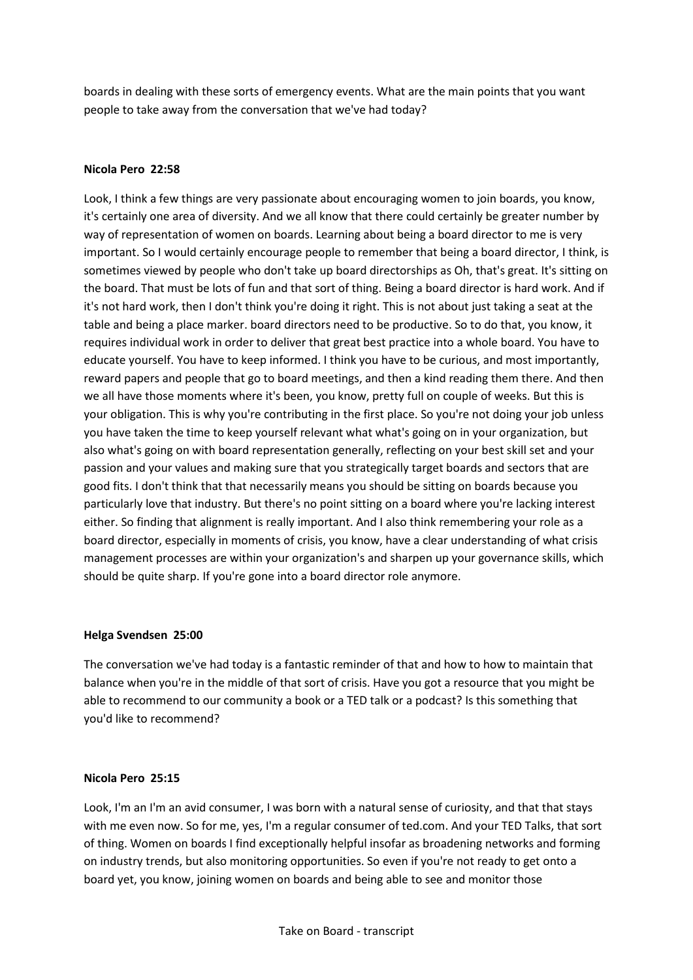boards in dealing with these sorts of emergency events. What are the main points that you want people to take away from the conversation that we've had today?

### **Nicola Pero 22:58**

Look, I think a few things are very passionate about encouraging women to join boards, you know, it's certainly one area of diversity. And we all know that there could certainly be greater number by way of representation of women on boards. Learning about being a board director to me is very important. So I would certainly encourage people to remember that being a board director, I think, is sometimes viewed by people who don't take up board directorships as Oh, that's great. It's sitting on the board. That must be lots of fun and that sort of thing. Being a board director is hard work. And if it's not hard work, then I don't think you're doing it right. This is not about just taking a seat at the table and being a place marker. board directors need to be productive. So to do that, you know, it requires individual work in order to deliver that great best practice into a whole board. You have to educate yourself. You have to keep informed. I think you have to be curious, and most importantly, reward papers and people that go to board meetings, and then a kind reading them there. And then we all have those moments where it's been, you know, pretty full on couple of weeks. But this is your obligation. This is why you're contributing in the first place. So you're not doing your job unless you have taken the time to keep yourself relevant what what's going on in your organization, but also what's going on with board representation generally, reflecting on your best skill set and your passion and your values and making sure that you strategically target boards and sectors that are good fits. I don't think that that necessarily means you should be sitting on boards because you particularly love that industry. But there's no point sitting on a board where you're lacking interest either. So finding that alignment is really important. And I also think remembering your role as a board director, especially in moments of crisis, you know, have a clear understanding of what crisis management processes are within your organization's and sharpen up your governance skills, which should be quite sharp. If you're gone into a board director role anymore.

#### **Helga Svendsen 25:00**

The conversation we've had today is a fantastic reminder of that and how to how to maintain that balance when you're in the middle of that sort of crisis. Have you got a resource that you might be able to recommend to our community a book or a TED talk or a podcast? Is this something that you'd like to recommend?

#### **Nicola Pero 25:15**

Look, I'm an I'm an avid consumer, I was born with a natural sense of curiosity, and that that stays with me even now. So for me, yes, I'm a regular consumer of ted.com. And your TED Talks, that sort of thing. Women on boards I find exceptionally helpful insofar as broadening networks and forming on industry trends, but also monitoring opportunities. So even if you're not ready to get onto a board yet, you know, joining women on boards and being able to see and monitor those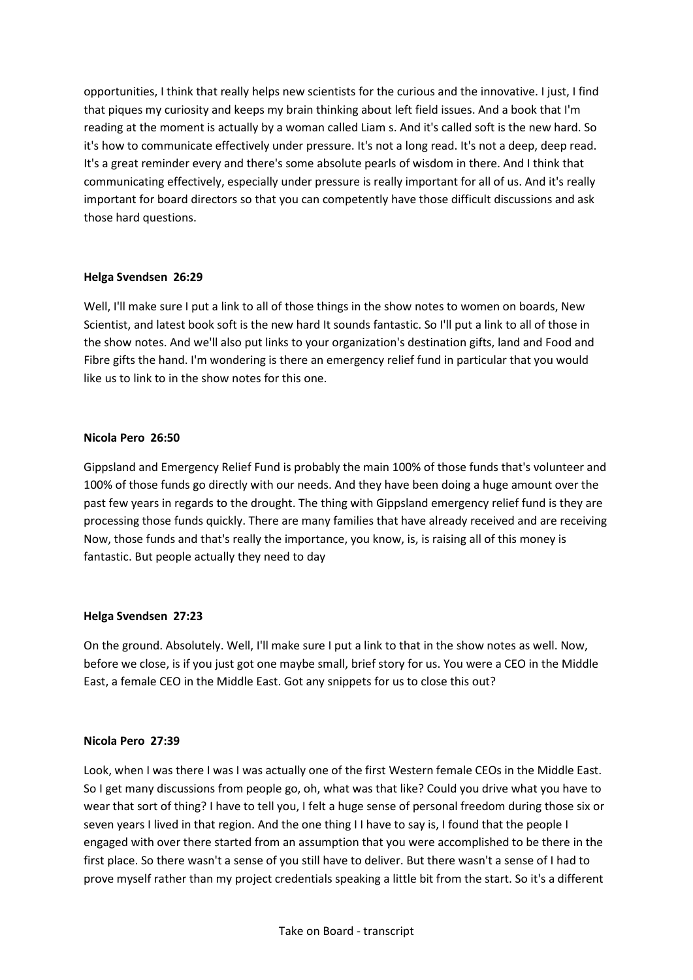opportunities, I think that really helps new scientists for the curious and the innovative. I just, I find that piques my curiosity and keeps my brain thinking about left field issues. And a book that I'm reading at the moment is actually by a woman called Liam s. And it's called soft is the new hard. So it's how to communicate effectively under pressure. It's not a long read. It's not a deep, deep read. It's a great reminder every and there's some absolute pearls of wisdom in there. And I think that communicating effectively, especially under pressure is really important for all of us. And it's really important for board directors so that you can competently have those difficult discussions and ask those hard questions.

# **Helga Svendsen 26:29**

Well, I'll make sure I put a link to all of those things in the show notes to women on boards, New Scientist, and latest book soft is the new hard It sounds fantastic. So I'll put a link to all of those in the show notes. And we'll also put links to your organization's destination gifts, land and Food and Fibre gifts the hand. I'm wondering is there an emergency relief fund in particular that you would like us to link to in the show notes for this one.

# **Nicola Pero 26:50**

Gippsland and Emergency Relief Fund is probably the main 100% of those funds that's volunteer and 100% of those funds go directly with our needs. And they have been doing a huge amount over the past few years in regards to the drought. The thing with Gippsland emergency relief fund is they are processing those funds quickly. There are many families that have already received and are receiving Now, those funds and that's really the importance, you know, is, is raising all of this money is fantastic. But people actually they need to day

# **Helga Svendsen 27:23**

On the ground. Absolutely. Well, I'll make sure I put a link to that in the show notes as well. Now, before we close, is if you just got one maybe small, brief story for us. You were a CEO in the Middle East, a female CEO in the Middle East. Got any snippets for us to close this out?

# **Nicola Pero 27:39**

Look, when I was there I was I was actually one of the first Western female CEOs in the Middle East. So I get many discussions from people go, oh, what was that like? Could you drive what you have to wear that sort of thing? I have to tell you, I felt a huge sense of personal freedom during those six or seven years I lived in that region. And the one thing I I have to say is, I found that the people I engaged with over there started from an assumption that you were accomplished to be there in the first place. So there wasn't a sense of you still have to deliver. But there wasn't a sense of I had to prove myself rather than my project credentials speaking a little bit from the start. So it's a different